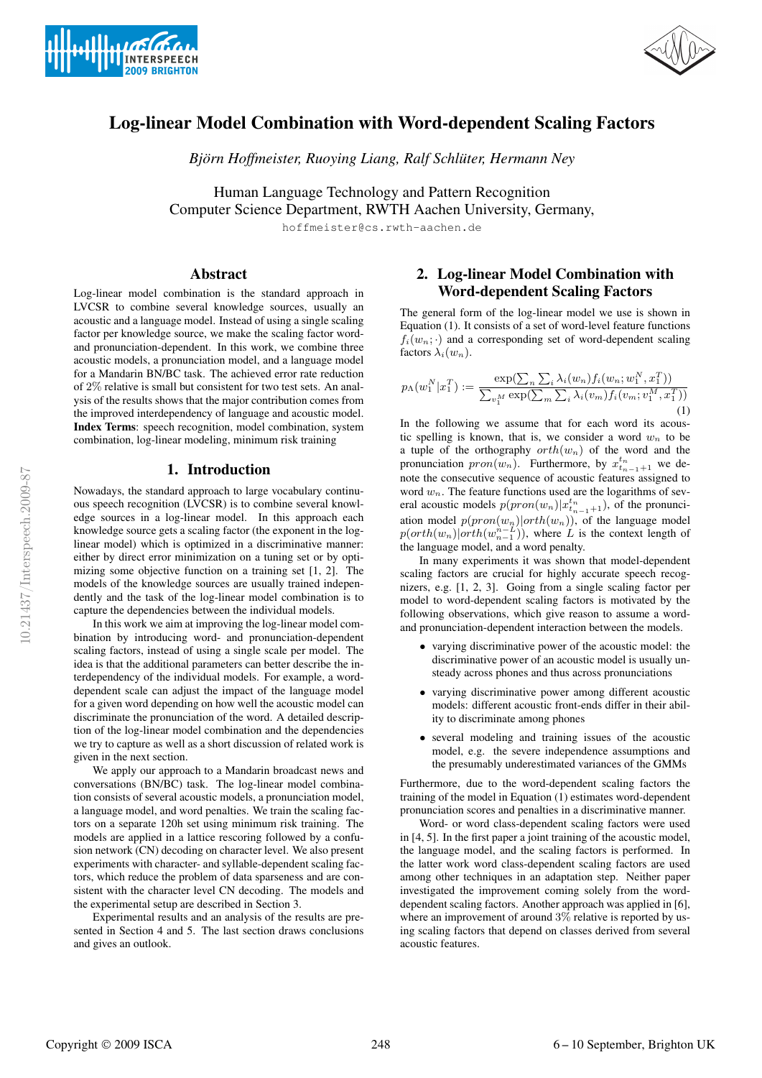



# Log-linear Model Combination with Word-dependent Scaling Factors

*Björn Hoffmeister, Ruoying Liang, Ralf Schlüter, Hermann Ney* 

Human Language Technology and Pattern Recognition Computer Science Department, RWTH Aachen University, Germany,

hoffmeister@cs.rwth-aachen.de

## Abstract

Log-linear model combination is the standard approach in LVCSR to combine several knowledge sources, usually an acoustic and a language model. Instead of using a single scaling factor per knowledge source, we make the scaling factor wordand pronunciation-dependent. In this work, we combine three acoustic models, a pronunciation model, and a language model for a Mandarin BN/BC task. The achieved error rate reduction of 2% relative is small but consistent for two test sets. An analysis of the results shows that the major contribution comes from the improved interdependency of language and acoustic model. Index Terms: speech recognition, model combination, system combination, log-linear modeling, minimum risk training

## 1. Introduction

Nowadays, the standard approach to large vocabulary continuous speech recognition (LVCSR) is to combine several knowledge sources in a log-linear model. In this approach each knowledge source gets a scaling factor (the exponent in the loglinear model) which is optimized in a discriminative manner: either by direct error minimization on a tuning set or by optimizing some objective function on a training set [1, 2]. The models of the knowledge sources are usually trained independently and the task of the log-linear model combination is to capture the dependencies between the individual models.

In this work we aim at improving the log-linear model combination by introducing word- and pronunciation-dependent scaling factors, instead of using a single scale per model. The idea is that the additional parameters can better describe the interdependency of the individual models. For example, a worddependent scale can adjust the impact of the language model for a given word depending on how well the acoustic model can discriminate the pronunciation of the word. A detailed description of the log-linear model combination and the dependencies we try to capture as well as a short discussion of related work is given in the next section.

We apply our approach to a Mandarin broadcast news and conversations (BN/BC) task. The log-linear model combination consists of several acoustic models, a pronunciation model, a language model, and word penalties. We train the scaling factors on a separate 120h set using minimum risk training. The models are applied in a lattice rescoring followed by a confusion network (CN) decoding on character level. We also present experiments with character- and syllable-dependent scaling factors, which reduce the problem of data sparseness and are consistent with the character level CN decoding. The models and the experimental setup are described in Section 3.

Experimental results and an analysis of the results are presented in Section 4 and 5. The last section draws conclusions and gives an outlook.

# 2. Log-linear Model Combination with Word-dependent Scaling Factors

The general form of the log-linear model we use is shown in Equation (1). It consists of a set of word-level feature functions  $f_i(w_n; \cdot)$  and a corresponding set of word-dependent scaling factors  $\lambda_i(w_n)$ .

$$
p_{\Lambda}(w_{1}^{N}|x_{1}^{T}) := \frac{\exp(\sum_{n}\sum_{i}\lambda_{i}(w_{n})f_{i}(w_{n};w_{1}^{N},x_{1}^{T}))}{\sum_{v_{1}^{N}}\exp(\sum_{m}\sum_{i}\lambda_{i}(v_{m})f_{i}(v_{m};v_{1}^{M},x_{1}^{T}))}
$$
\n(1)

In the following we assume that for each word its acoustic spelling is known, that is, we consider a word  $w_n$  to be a tuple of the orthography  $orth(w_n)$  of the word and the pronunciation  $pron(w_n)$ . Furthermore, by  $x_{t_{n-1}+1}^{t_n}$  we denote the consecutive sequence of acoustic features assigned to word  $w_n$ . The feature functions used are the logarithms of several acoustic models  $p(pron(w_n)|x_{t_{n-1}+1}^{t_n})$ , of the pronunciation model  $p(pron(w_n)|orth(w_n))$ , of the language model  $p(orth(w_n)|orth(w_{n-1}^{n-L}))$ , where L is the context length of the language model, and a word penalty.

In many experiments it was shown that model-dependent scaling factors are crucial for highly accurate speech recognizers, e.g. [1, 2, 3]. Going from a single scaling factor per model to word-dependent scaling factors is motivated by the following observations, which give reason to assume a wordand pronunciation-dependent interaction between the models.

- varying discriminative power of the acoustic model: the discriminative power of an acoustic model is usually unsteady across phones and thus across pronunciations
- varying discriminative power among different acoustic models: different acoustic front-ends differ in their ability to discriminate among phones
- several modeling and training issues of the acoustic model, e.g. the severe independence assumptions and the presumably underestimated variances of the GMMs

Furthermore, due to the word-dependent scaling factors the training of the model in Equation (1) estimates word-dependent pronunciation scores and penalties in a discriminative manner.

Word- or word class-dependent scaling factors were used in [4, 5]. In the first paper a joint training of the acoustic model, the language model, and the scaling factors is performed. In the latter work word class-dependent scaling factors are used among other techniques in an adaptation step. Neither paper investigated the improvement coming solely from the worddependent scaling factors. Another approach was applied in [6], where an improvement of around 3% relative is reported by using scaling factors that depend on classes derived from several acoustic features.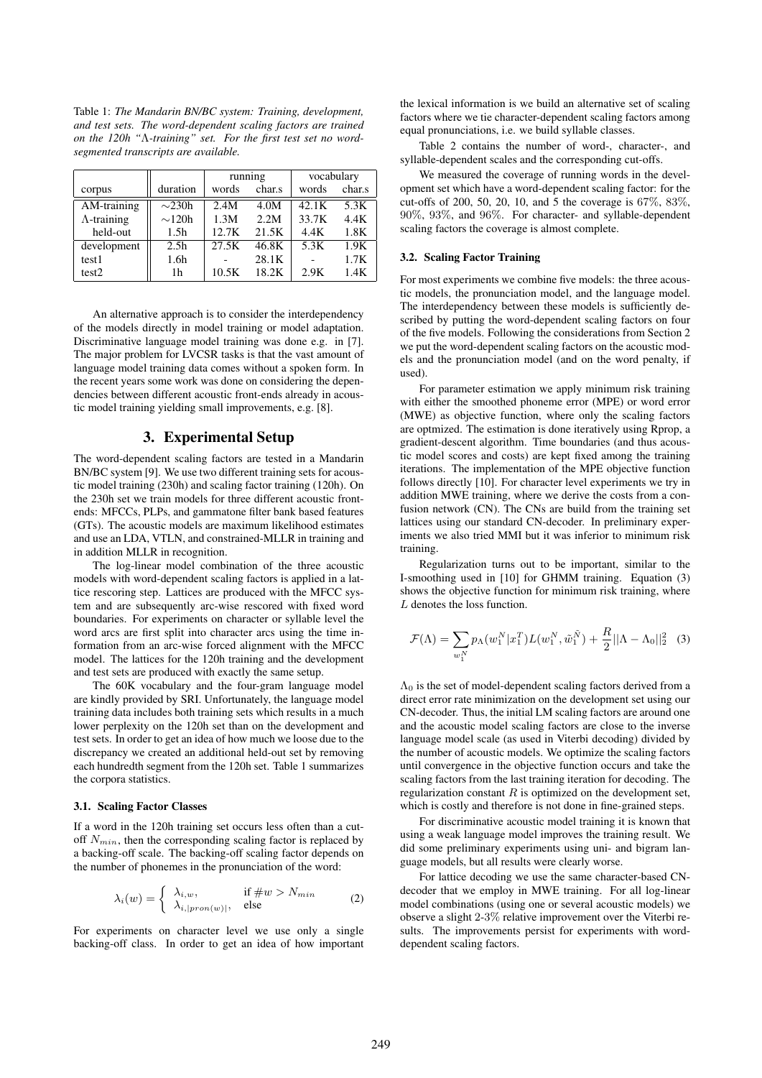Table 1: *The Mandarin BN/BC system: Training, development, and test sets. The word-dependent scaling factors are trained on the 120h "*Λ*-training" set. For the first test set no wordsegmented transcripts are available.*

|                     |                  | running |        | vocabulary |        |
|---------------------|------------------|---------|--------|------------|--------|
| corpus              | duration         | words   | char.s | words      | char.s |
| AM-training         | $\sim$ 230h      | 2.4M    | 4.0M   | 42.1K      | 5.3K   |
| $\Lambda$ -training | $\sim$ 120h      | 1.3M    | 2.2M   | 33.7K      | 4.4K   |
| held-out            | 1.5 <sub>h</sub> | 12.7K   | 21.5K  | 4.4K       | 1.8K   |
| development         | 2.5 <sub>h</sub> | 27.5K   | 46.8K  | 5.3K       | 1.9K   |
| test1               | 1.6 <sub>h</sub> |         | 28.1K  |            | 1.7K   |
| test <sub>2</sub>   | 1h               | 10.5K   | 18.2K  | 2.9K       | 1.4K   |

An alternative approach is to consider the interdependency of the models directly in model training or model adaptation. Discriminative language model training was done e.g. in [7]. The major problem for LVCSR tasks is that the vast amount of language model training data comes without a spoken form. In the recent years some work was done on considering the dependencies between different acoustic front-ends already in acoustic model training yielding small improvements, e.g. [8].

#### 3. Experimental Setup

The word-dependent scaling factors are tested in a Mandarin BN/BC system [9]. We use two different training sets for acoustic model training (230h) and scaling factor training (120h). On the 230h set we train models for three different acoustic frontends: MFCCs, PLPs, and gammatone filter bank based features (GTs). The acoustic models are maximum likelihood estimates and use an LDA, VTLN, and constrained-MLLR in training and in addition MLLR in recognition.

The log-linear model combination of the three acoustic models with word-dependent scaling factors is applied in a lattice rescoring step. Lattices are produced with the MFCC system and are subsequently arc-wise rescored with fixed word boundaries. For experiments on character or syllable level the word arcs are first split into character arcs using the time information from an arc-wise forced alignment with the MFCC model. The lattices for the 120h training and the development and test sets are produced with exactly the same setup.

The 60K vocabulary and the four-gram language model are kindly provided by SRI. Unfortunately, the language model training data includes both training sets which results in a much lower perplexity on the 120h set than on the development and test sets. In order to get an idea of how much we loose due to the discrepancy we created an additional held-out set by removing each hundredth segment from the 120h set. Table 1 summarizes the corpora statistics.

#### 3.1. Scaling Factor Classes

If a word in the 120h training set occurs less often than a cutoff  $N_{min}$ , then the corresponding scaling factor is replaced by a backing-off scale. The backing-off scaling factor depends on the number of phonemes in the pronunciation of the word:

$$
\lambda_i(w) = \begin{cases} \lambda_{i,w}, & \text{if } \#w > N_{min} \\ \lambda_{i,|pron(w)|}, & \text{else} \end{cases}
$$
 (2)

For experiments on character level we use only a single backing-off class. In order to get an idea of how important the lexical information is we build an alternative set of scaling factors where we tie character-dependent scaling factors among equal pronunciations, i.e. we build syllable classes.

Table 2 contains the number of word-, character-, and syllable-dependent scales and the corresponding cut-offs.

We measured the coverage of running words in the development set which have a word-dependent scaling factor: for the cut-offs of 200, 50, 20, 10, and 5 the coverage is 67%, 83%, 90%, 93%, and 96%. For character- and syllable-dependent scaling factors the coverage is almost complete.

#### 3.2. Scaling Factor Training

For most experiments we combine five models: the three acoustic models, the pronunciation model, and the language model. The interdependency between these models is sufficiently described by putting the word-dependent scaling factors on four of the five models. Following the considerations from Section 2 we put the word-dependent scaling factors on the acoustic models and the pronunciation model (and on the word penalty, if used)

For parameter estimation we apply minimum risk training with either the smoothed phoneme error (MPE) or word error (MWE) as objective function, where only the scaling factors are optmized. The estimation is done iteratively using Rprop, a gradient-descent algorithm. Time boundaries (and thus acoustic model scores and costs) are kept fixed among the training iterations. The implementation of the MPE objective function follows directly [10]. For character level experiments we try in addition MWE training, where we derive the costs from a confusion network (CN). The CNs are build from the training set lattices using our standard CN-decoder. In preliminary experiments we also tried MMI but it was inferior to minimum risk training.

Regularization turns out to be important, similar to the I-smoothing used in [10] for GHMM training. Equation (3) shows the objective function for minimum risk training, where L denotes the loss function.

$$
\mathcal{F}(\Lambda) = \sum_{w_1^N} p_\Lambda(w_1^N | x_1^T) L(w_1^N, \tilde{w}_1^{\tilde{N}}) + \frac{R}{2} ||\Lambda - \Lambda_0||_2^2 \quad (3)
$$

 $\Lambda_0$  is the set of model-dependent scaling factors derived from a direct error rate minimization on the development set using our CN-decoder. Thus, the initial LM scaling factors are around one and the acoustic model scaling factors are close to the inverse language model scale (as used in Viterbi decoding) divided by the number of acoustic models. We optimize the scaling factors until convergence in the objective function occurs and take the scaling factors from the last training iteration for decoding. The regularization constant  $R$  is optimized on the development set, which is costly and therefore is not done in fine-grained steps.

For discriminative acoustic model training it is known that using a weak language model improves the training result. We did some preliminary experiments using uni- and bigram language models, but all results were clearly worse.

For lattice decoding we use the same character-based CNdecoder that we employ in MWE training. For all log-linear model combinations (using one or several acoustic models) we observe a slight 2-3% relative improvement over the Viterbi results. The improvements persist for experiments with worddependent scaling factors.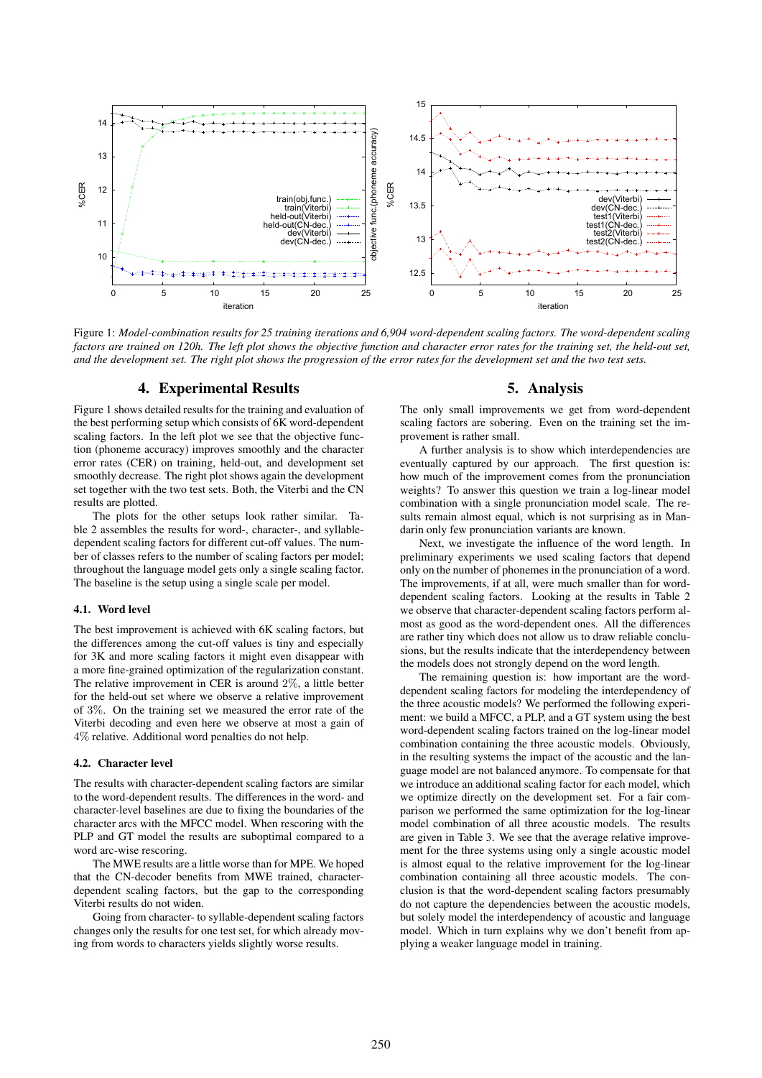

Figure 1: *Model-combination results for 25 training iterations and 6,904 word-dependent scaling factors. The word-dependent scaling factors are trained on 120h. The left plot shows the objective function and character error rates for the training set, the held-out set, and the development set. The right plot shows the progression of the error rates for the development set and the two test sets.*

#### 4. Experimental Results

Figure 1 shows detailed results for the training and evaluation of the best performing setup which consists of 6K word-dependent scaling factors. In the left plot we see that the objective function (phoneme accuracy) improves smoothly and the character error rates (CER) on training, held-out, and development set smoothly decrease. The right plot shows again the development set together with the two test sets. Both, the Viterbi and the CN results are plotted.

The plots for the other setups look rather similar. Table 2 assembles the results for word-, character-, and syllabledependent scaling factors for different cut-off values. The number of classes refers to the number of scaling factors per model; throughout the language model gets only a single scaling factor. The baseline is the setup using a single scale per model.

#### 4.1. Word level

The best improvement is achieved with 6K scaling factors, but the differences among the cut-off values is tiny and especially for 3K and more scaling factors it might even disappear with a more fine-grained optimization of the regularization constant. The relative improvement in CER is around 2%, a little better for the held-out set where we observe a relative improvement of 3%. On the training set we measured the error rate of the Viterbi decoding and even here we observe at most a gain of 4% relative. Additional word penalties do not help.

#### 4.2. Character level

The results with character-dependent scaling factors are similar to the word-dependent results. The differences in the word- and character-level baselines are due to fixing the boundaries of the character arcs with the MFCC model. When rescoring with the PLP and GT model the results are suboptimal compared to a word arc-wise rescoring.

The MWE results are a little worse than for MPE. We hoped that the CN-decoder benefits from MWE trained, characterdependent scaling factors, but the gap to the corresponding Viterbi results do not widen.

Going from character- to syllable-dependent scaling factors changes only the results for one test set, for which already moving from words to characters yields slightly worse results.

## 5. Analysis

The only small improvements we get from word-dependent scaling factors are sobering. Even on the training set the improvement is rather small.

A further analysis is to show which interdependencies are eventually captured by our approach. The first question is: how much of the improvement comes from the pronunciation weights? To answer this question we train a log-linear model combination with a single pronunciation model scale. The results remain almost equal, which is not surprising as in Mandarin only few pronunciation variants are known.

Next, we investigate the influence of the word length. In preliminary experiments we used scaling factors that depend only on the number of phonemes in the pronunciation of a word. The improvements, if at all, were much smaller than for worddependent scaling factors. Looking at the results in Table 2 we observe that character-dependent scaling factors perform almost as good as the word-dependent ones. All the differences are rather tiny which does not allow us to draw reliable conclusions, but the results indicate that the interdependency between the models does not strongly depend on the word length.

The remaining question is: how important are the worddependent scaling factors for modeling the interdependency of the three acoustic models? We performed the following experiment: we build a MFCC, a PLP, and a GT system using the best word-dependent scaling factors trained on the log-linear model combination containing the three acoustic models. Obviously, in the resulting systems the impact of the acoustic and the language model are not balanced anymore. To compensate for that we introduce an additional scaling factor for each model, which we optimize directly on the development set. For a fair comparison we performed the same optimization for the log-linear model combination of all three acoustic models. The results are given in Table 3. We see that the average relative improvement for the three systems using only a single acoustic model is almost equal to the relative improvement for the log-linear combination containing all three acoustic models. The conclusion is that the word-dependent scaling factors presumably do not capture the dependencies between the acoustic models, but solely model the interdependency of acoustic and language model. Which in turn explains why we don't benefit from applying a weaker language model in training.